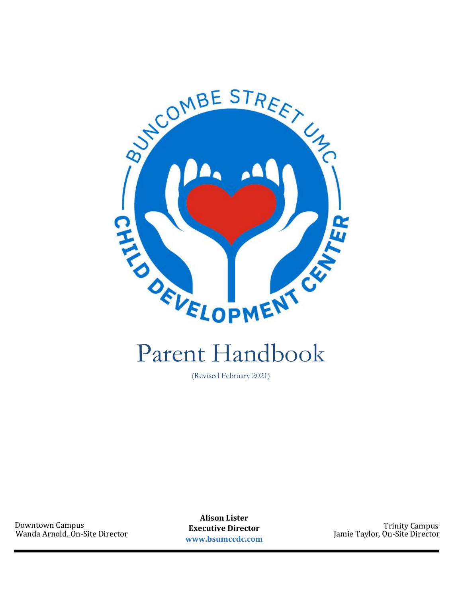

# Parent Handbook

(Revised February 2021)

Downtown Campus Trinity Campus Wanda Arnold, On-Site Director

**Alison Lister Executive Director www.bsumccdc.com**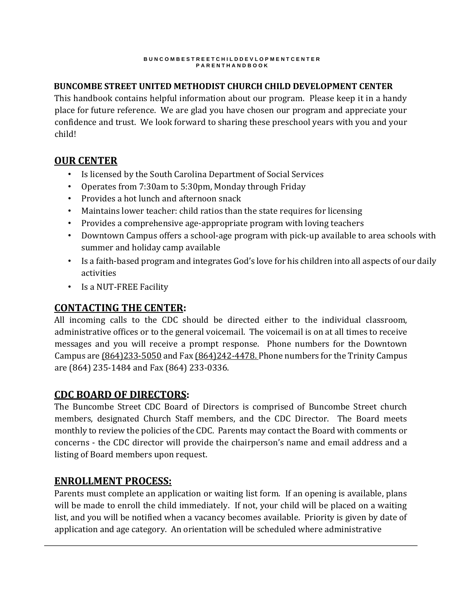### **BUNCOMBE STREET UNITED METHODIST CHURCH CHILD DEVELOPMENT CENTER**

This handbook contains helpful information about our program. Please keep it in a handy place for future reference. We are glad you have chosen our program and appreciate your confidence and trust. We look forward to sharing these preschool years with you and your child!

# **OUR CENTER**

- Is licensed by the South Carolina Department of Social Services
- Operates from 7:30am to 5:30pm, Monday through Friday
- Provides a hot lunch and afternoon snack
- Maintains lower teacher: child ratios than the state requires for licensing
- Provides a comprehensive age-appropriate program with loving teachers
- Downtown Campus offers a school-age program with pick-up available to area schools with summer and holiday camp available
- Is a faith-based program and integrates God's love for his children into all aspects of our daily activities
- Is a NUT-FREE Facility

# **CONTACTING THE CENTER:**

All incoming calls to the CDC should be directed either to the individual classroom, administrative offices or to the general voicemail. The voicemail is on at all times to receive messages and you will receive a prompt response. Phone numbers for the Downtown Campus are  $(864)233-5050$  and Fax  $(864)242-4478$ . Phone numbers for the Trinity Campus are (864) 235-1484 and Fax (864) 233-0336.

# **CDC BOARD OF DIRECTORS:**

The Buncombe Street CDC Board of Directors is comprised of Buncombe Street church members, designated Church Staff members, and the CDC Director. The Board meets monthly to review the policies of the CDC. Parents may contact the Board with comments or concerns - the CDC director will provide the chairperson's name and email address and a listing of Board members upon request.

# **ENROLLMENT PROCESS:**

Parents must complete an application or waiting list form. If an opening is available, plans will be made to enroll the child immediately. If not, your child will be placed on a waiting list, and you will be notified when a vacancy becomes available. Priority is given by date of application and age category. An orientation will be scheduled where administrative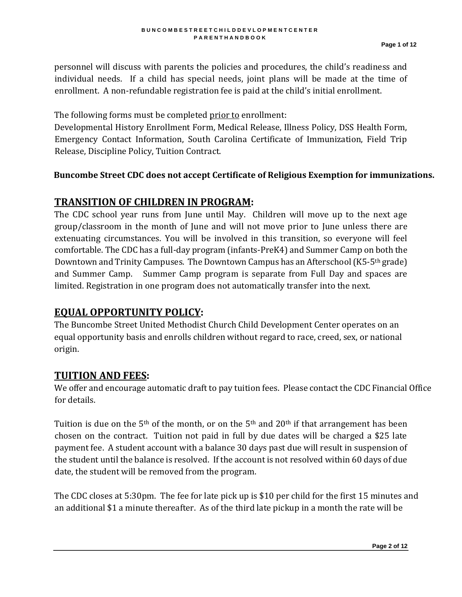personnel will discuss with parents the policies and procedures, the child's readiness and individual needs. If a child has special needs, joint plans will be made at the time of enrollment. A non-refundable registration fee is paid at the child's initial enrollment.

The following forms must be completed prior to enrollment:

Developmental History Enrollment Form, Medical Release, Illness Policy, DSS Health Form, Emergency Contact Information, South Carolina Certificate of Immunization, Field Trip Release, Discipline Policy, Tuition Contract.

### **Buncombe Street CDC does not accept Certificate of Religious Exemption for immunizations.**

# **TRANSITION OF CHILDREN IN PROGRAM:**

The CDC school year runs from June until May. Children will move up to the next age group/classroom in the month of June and will not move prior to June unless there are extenuating circumstances. You will be involved in this transition, so everyone will feel comfortable. The CDC has a full-day program (infants-PreK4) and Summer Camp on both the Downtown and Trinity Campuses. The Downtown Campus has an Afterschool (K5-5th grade) and Summer Camp. Summer Camp program is separate from Full Day and spaces are limited. Registration in one program does not automatically transfer into the next.

# **EQUAL OPPORTUNITY POLICY:**

The Buncombe Street United Methodist Church Child Development Center operates on an equal opportunity basis and enrolls children without regard to race, creed, sex, or national origin.

# **TUITION AND FEES:**

We offer and encourage automatic draft to pay tuition fees. Please contact the CDC Financial Office for details.

Tuition is due on the 5<sup>th</sup> of the month, or on the 5<sup>th</sup> and 20<sup>th</sup> if that arrangement has been chosen on the contract. Tuition not paid in full by due dates will be charged a \$25 late payment fee. A student account with a balance 30 days past due will result in suspension of the student until the balance is resolved. If the account is not resolved within 60 days of due date, the student will be removed from the program.

The CDC closes at 5:30pm. The fee for late pick up is \$10 per child for the first 15 minutes and an additional \$1 a minute thereafter. As of the third late pickup in a month the rate will be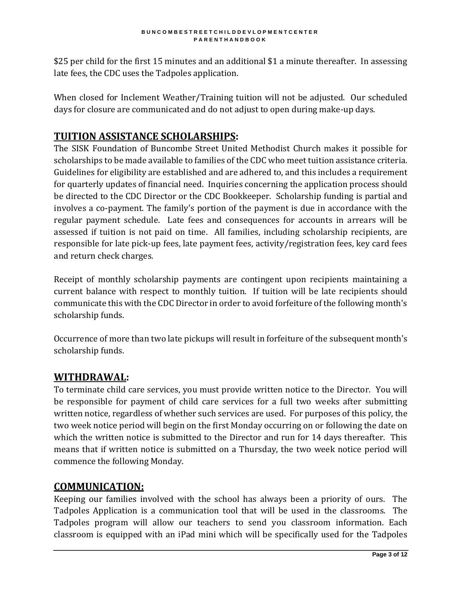\$25 per child for the first 15 minutes and an additional \$1 a minute thereafter. In assessing late fees, the CDC uses the Tadpoles application.

When closed for Inclement Weather/Training tuition will not be adjusted. Our scheduled days for closure are communicated and do not adjust to open during make-up days.

# **TUITION ASSISTANCE SCHOLARSHIPS:**

The SISK Foundation of Buncombe Street United Methodist Church makes it possible for scholarships to be made available to families of the CDC who meet tuition assistance criteria. Guidelines for eligibility are established and are adhered to, and this includes a requirement for quarterly updates of financial need. Inquiries concerning the application process should be directed to the CDC Director or the CDC Bookkeeper. Scholarship funding is partial and involves a co-payment. The family's portion of the payment is due in accordance with the regular payment schedule. Late fees and consequences for accounts in arrears will be assessed if tuition is not paid on time. All families, including scholarship recipients, are responsible for late pick-up fees, late payment fees, activity/registration fees, key card fees and return check charges.

Receipt of monthly scholarship payments are contingent upon recipients maintaining a current balance with respect to monthly tuition. If tuition will be late recipients should communicate this with the CDC Director in order to avoid forfeiture of the following month's scholarship funds.

Occurrence of more than two late pickups will result in forfeiture of the subsequent month's scholarship funds.

### **WITHDRAWAL:**

To terminate child care services, you must provide written notice to the Director. You will be responsible for payment of child care services for a full two weeks after submitting written notice, regardless of whether such services are used. For purposes of this policy, the two week notice period will begin on the first Monday occurring on or following the date on which the written notice is submitted to the Director and run for 14 days thereafter. This means that if written notice is submitted on a Thursday, the two week notice period will commence the following Monday.

### **COMMUNICATION:**

Keeping our families involved with the school has always been a priority of ours. The Tadpoles Application is a communication tool that will be used in the classrooms. The Tadpoles program will allow our teachers to send you classroom information. Each classroom is equipped with an iPad mini which will be specifically used for the Tadpoles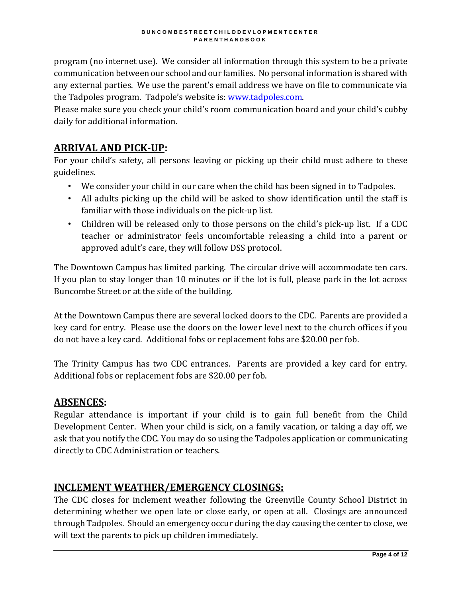program (no internet use). We consider all information through this system to be a private communication between our school and our families. No personal information is shared with any external parties. We use the parent's email address we have on file to communicate via the Tadpoles program. Tadpole's website is: [www.tadpoles.com.](http://www.tadpoles.com/) 

Please make sure you check your child's room communication board and your child's cubby daily for additional information.

### **ARRIVAL AND PICK-UP:**

For your child's safety, all persons leaving or picking up their child must adhere to these guidelines.

- We consider your child in our care when the child has been signed in to Tadpoles.
- All adults picking up the child will be asked to show identification until the staff is familiar with those individuals on the pick-up list.
- Children will be released only to those persons on the child's pick-up list. If a CDC teacher or administrator feels uncomfortable releasing a child into a parent or approved adult's care, they will follow DSS protocol.

The Downtown Campus has limited parking. The circular drive will accommodate ten cars. If you plan to stay longer than 10 minutes or if the lot is full, please park in the lot across Buncombe Street or at the side of the building.

At the Downtown Campus there are several locked doors to the CDC. Parents are provided a key card for entry. Please use the doors on the lower level next to the church offices if you do not have a key card. Additional fobs or replacement fobs are \$20.00 per fob.

The Trinity Campus has two CDC entrances. Parents are provided a key card for entry. Additional fobs or replacement fobs are \$20.00 per fob.

### **ABSENCES:**

Regular attendance is important if your child is to gain full benefit from the Child Development Center. When your child is sick, on a family vacation, or taking a day off, we ask that you notify the CDC. You may do so using the Tadpoles application or communicating directly to CDC Administration or teachers.

# **INCLEMENT WEATHER/EMERGENCY CLOSINGS:**

The CDC closes for inclement weather following the Greenville County School District in determining whether we open late or close early, or open at all. Closings are announced through Tadpoles. Should an emergency occur during the day causing the center to close, we will text the parents to pick up children immediately.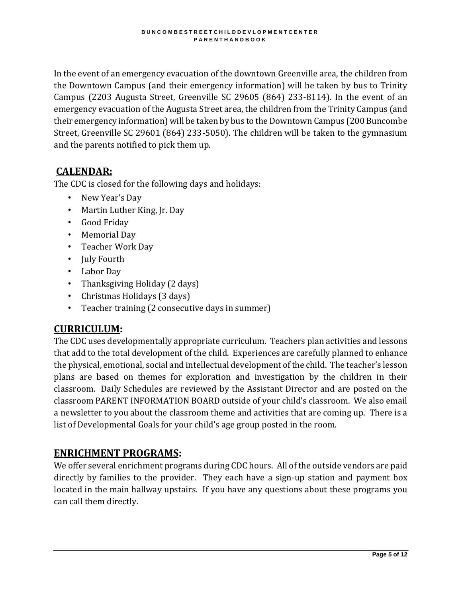In the event of an emergency evacuation of the downtown Greenville area, the children from the Downtown Campus (and their emergency information) will be taken by bus to Trinity Campus (2203 Augusta Street, Greenville SC 29605 (864) 233-8114). In the event of an emergency evacuation of the Augusta Street area, the children from the Trinity Campus (and their emergency information) will be taken by bus to the Downtown Campus (200 Buncombe Street, Greenville SC 29601 (864) 233-5050). The children will be taken to the gymnasium and the parents notified to pick them up.

# **CALENDAR:**

The CDC is closed for the following days and holidays:

- New Year's Day
- Martin Luther King, Jr. Day
- Good Friday
- Memorial Day
- Teacher Work Day
- July Fourth
- Labor Day
- Thanksgiving Holiday (2 days)
- Christmas Holidays (3 days)
- Teacher training (2 consecutive days in summer)

# **CURRICULUM:**

The CDC uses developmentally appropriate curriculum. Teachers plan activities and lessons that add to the total development of the child. Experiences are carefully planned to enhance the physical, emotional, social and intellectual development of the child. The teacher's lesson plans are based on themes for exploration and investigation by the children in their classroom. Daily Schedules are reviewed by the Assistant Director and are posted on the classroom PARENT INFORMATION BOARD outside of your child's classroom. We also email a newsletter to you about the classroom theme and activities that are coming up. There is a list of Developmental Goals for your child's age group posted in the room.

# **ENRICHMENT PROGRAMS:**

We offer several enrichment programs during CDC hours. All of the outside vendors are paid directly by families to the provider. They each have a sign-up station and payment box located in the main hallway upstairs. If you have any questions about these programs you can call them directly.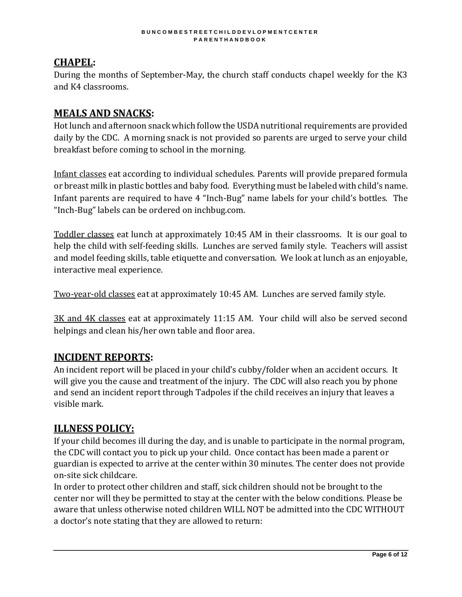# **CHAPEL:**

During the months of September-May, the church staff conducts chapel weekly for the K3 and K4 classrooms.

# **MEALS AND SNACKS:**

Hot lunch and afternoon snack which follow the USDA nutritional requirements are provided daily by the CDC. A morning snack is not provided so parents are urged to serve your child breakfast before coming to school in the morning.

Infant classes eat according to individual schedules. Parents will provide prepared formula or breast milk in plastic bottles and baby food. Everything must be labeled with child's name. Infant parents are required to have 4 "Inch-Bug" name labels for your child's bottles. The "Inch-Bug" labels can be ordered on inchbug.com.

Toddler classes eat lunch at approximately 10:45 AM in their classrooms. It is our goal to help the child with self-feeding skills. Lunches are served family style. Teachers will assist and model feeding skills, table etiquette and conversation. We look at lunch as an enjoyable, interactive meal experience.

Two-year-old classes eat at approximately 10:45 AM. Lunches are served family style.

3K and 4K classes eat at approximately 11:15 AM. Your child will also be served second helpings and clean his/her own table and floor area.

# **INCIDENT REPORTS:**

An incident report will be placed in your child's cubby/folder when an accident occurs. It will give you the cause and treatment of the injury. The CDC will also reach you by phone and send an incident report through Tadpoles if the child receives an injury that leaves a visible mark.

# **ILLNESS POLICY:**

If your child becomes ill during the day, and is unable to participate in the normal program, the CDC will contact you to pick up your child. Once contact has been made a parent or guardian is expected to arrive at the center within 30 minutes. The center does not provide on-site sick childcare.

In order to protect other children and staff, sick children should not be brought to the center nor will they be permitted to stay at the center with the below conditions. Please be aware that unless otherwise noted children WILL NOT be admitted into the CDC WITHOUT a doctor's note stating that they are allowed to return: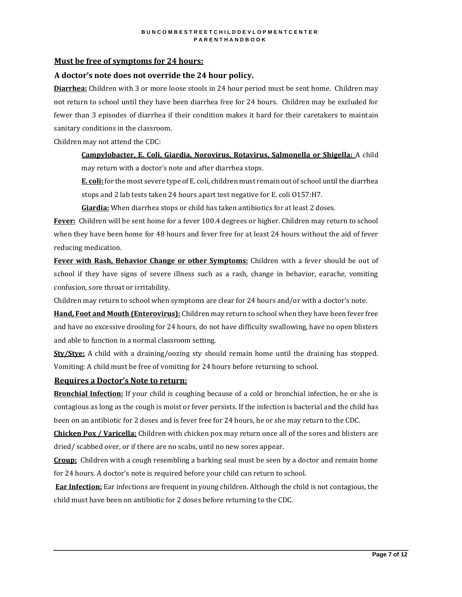#### **Must be free of symptoms for 24 hours:**

#### **A doctor's note does not override the 24 hour policy.**

**Diarrhea:** Children with 3 or more loose stools in 24 hour period must be sent home. Children may not return to school until they have been diarrhea free for 24 hours. Children may be excluded for fewer than 3 episodes of diarrhea if their condition makes it hard for their caretakers to maintain sanitary conditions in the classroom.

Children may not attend the CDC:

**Campylobacter, E. Coli, Giardia, Norovirus, Rotavirus, Salmonella or Shigella:** A child may return with a doctor's note and after diarrhea stops.

**E. coli:** for the most severe type of E. coli, children must remain out of school until the diarrhea stops and 2 lab tests taken 24 hours apart test negative for E. coli O157:H7.

**Giardia:** When diarrhea stops or child has taken antibiotics for at least 2 doses.

**Fever:** Children will be sent home for a fever 100.4 degrees or higher. Children may return to school when they have been home for 48 hours and fever free for at least 24 hours without the aid of fever reducing medication.

**Fever with Rash, Behavior Change or other Symptoms:** Children with a fever should be out of school if they have signs of severe illness such as a rash, change in behavior, earache, vomiting confusion, sore throat or irritability.

Children may return to school when symptoms are clear for 24 hours and/or with a doctor's note.

**Hand, Foot and Mouth (Enterovirus):** Children may return to school when they have been fever free and have no excessive drooling for 24 hours, do not have difficulty swallowing, have no open blisters and able to function in a normal classroom setting.

**Sty/Stye:** A child with a draining/oozing sty should remain home until the draining has stopped. Vomiting: A child must be free of vomiting for 24 hours before returning to school.

#### **Requires a Doctor's Note to return:**

**Bronchial Infection:** If your child is coughing because of a cold or bronchial infection, he or she is contagious as long as the cough is moist or fever persists. If the infection is bacterial and the child has been on an antibiotic for 2 doses and is fever free for 24 hours, he or she may return to the CDC.

**Chicken Pox / Varicella:** Children with chicken pox may return once all of the sores and blisters are dried/ scabbed over, or if there are no scabs, until no new sores appear.

**Croup:** Children with a cough resembling a barking seal must be seen by a doctor and remain home for 24 hours. A doctor's note is required before your child can return to school.

**Ear Infection:** Ear infections are frequent in young children. Although the child is not contagious, the child must have been on antibiotic for 2 doses before returning to the CDC.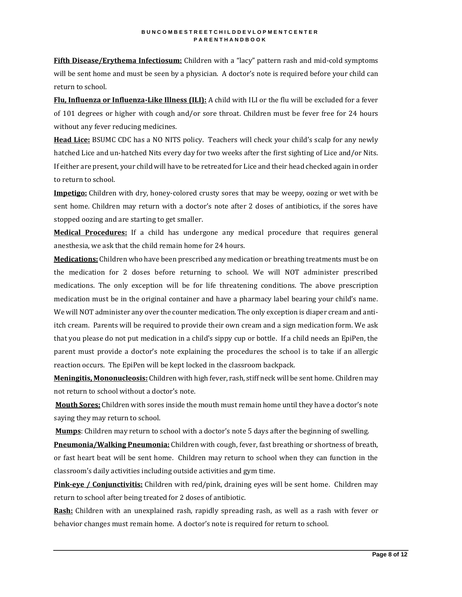**Fifth Disease/Erythema Infectiosum:** Children with a "lacy" pattern rash and mid-cold symptoms will be sent home and must be seen by a physician. A doctor's note is required before your child can return to school.

**Flu, Influenza or Influenza-Like Illness (ILI):** A child with ILI or the flu will be excluded for a fever of 101 degrees or higher with cough and/or sore throat. Children must be fever free for 24 hours without any fever reducing medicines.

**Head Lice:** BSUMC CDC has a NO NITS policy. Teachers will check your child's scalp for any newly hatched Lice and un-hatched Nits every day for two weeks after the first sighting of Lice and/or Nits. If either are present, your child will have to be retreated for Lice and their head checked again in order to return to school.

**Impetigo:** Children with dry, honey-colored crusty sores that may be weepy, oozing or wet with be sent home. Children may return with a doctor's note after 2 doses of antibiotics, if the sores have stopped oozing and are starting to get smaller.

**Medical Procedures:** If a child has undergone any medical procedure that requires general anesthesia, we ask that the child remain home for 24 hours.

**Medications:** Children who have been prescribed any medication or breathing treatments must be on the medication for 2 doses before returning to school. We will NOT administer prescribed medications. The only exception will be for life threatening conditions. The above prescription medication must be in the original container and have a pharmacy label bearing your child's name. We will NOT administer any over the counter medication. The only exception is diaper cream and antiitch cream. Parents will be required to provide their own cream and a sign medication form. We ask that you please do not put medication in a child's sippy cup or bottle. If a child needs an EpiPen, the parent must provide a doctor's note explaining the procedures the school is to take if an allergic reaction occurs. The EpiPen will be kept locked in the classroom backpack.

**Meningitis, Mononucleosis:** Children with high fever, rash, stiff neck will be sent home. Children may not return to school without a doctor's note.

**Mouth Sores:** Children with sores inside the mouth must remain home until they have a doctor's note saying they may return to school.

**Mumps**: Children may return to school with a doctor's note 5 days after the beginning of swelling.

**Pneumonia/Walking Pneumonia:** Children with cough, fever, fast breathing or shortness of breath, or fast heart beat will be sent home. Children may return to school when they can function in the classroom's daily activities including outside activities and gym time.

**Pink-eye / Conjunctivitis:** Children with red/pink, draining eyes will be sent home. Children may return to school after being treated for 2 doses of antibiotic.

**Rash:** Children with an unexplained rash, rapidly spreading rash, as well as a rash with fever or behavior changes must remain home. A doctor's note is required for return to school.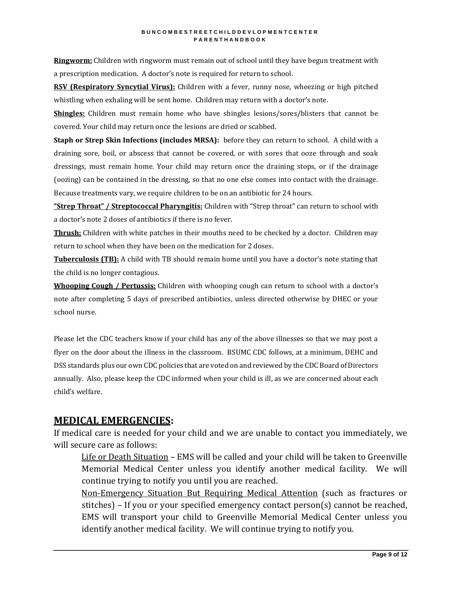**Ringworm:** Children with ringworm must remain out of school until they have begun treatment with a prescription medication. A doctor's note is required for return to school.

**RSV (Respiratory Syncytial Virus):** Children with a fever, runny nose, wheezing or high pitched whistling when exhaling will be sent home. Children may return with a doctor's note.

**Shingles:** Children must remain home who have shingles lesions/sores/blisters that cannot be covered. Your child may return once the lesions are dried or scabbed.

**Staph or Strep Skin Infections (includes MRSA):** before they can return to school. A child with a draining sore, boil, or abscess that cannot be covered, or with sores that ooze through and soak dressings, must remain home. Your child may return once the draining stops, or if the drainage (oozing) can be contained in the dressing, so that no one else comes into contact with the drainage. Because treatments vary, we require children to be on an antibiotic for 24 hours.

**"Strep Throat" / Streptococcal Pharyngitis:** Children with "Strep throat" can return to school with a doctor's note 2 doses of antibiotics if there is no fever.

**Thrush:** Children with white patches in their mouths need to be checked by a doctor. Children may return to school when they have been on the medication for 2 doses.

**Tuberculosis (TB):** A child with TB should remain home until you have a doctor's note stating that the child is no longer contagious.

**Whooping Cough / Pertussis:** Children with whooping cough can return to school with a doctor's note after completing 5 days of prescribed antibiotics, unless directed otherwise by DHEC or your school nurse.

Please let the CDC teachers know if your child has any of the above illnesses so that we may post a flyer on the door about the illness in the classroom. BSUMC CDC follows, at a minimum, DEHC and DSS standards plus our own CDC policies that are voted on and reviewed by the CDC Board of Directors annually. Also, please keep the CDC informed when your child is ill, as we are concerned about each child's welfare.

# **MEDICAL EMERGENCIES:**

If medical care is needed for your child and we are unable to contact you immediately, we will secure care as follows:

Life or Death Situation – EMS will be called and your child will be taken to Greenville Memorial Medical Center unless you identify another medical facility. We will continue trying to notify you until you are reached.

Non-Emergency Situation But Requiring Medical Attention (such as fractures or stitches) – If you or your specified emergency contact person(s) cannot be reached, EMS will transport your child to Greenville Memorial Medical Center unless you identify another medical facility. We will continue trying to notify you.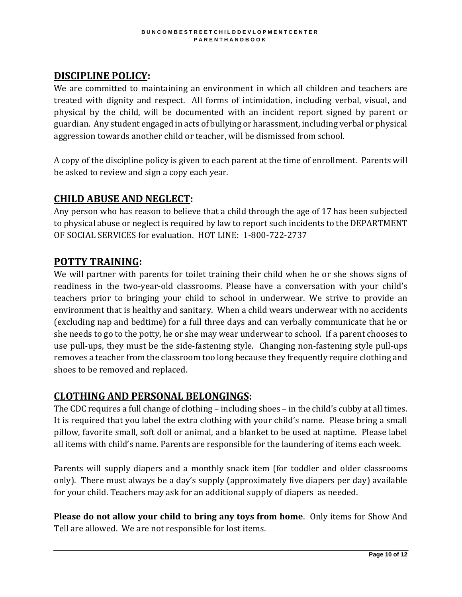# **DISCIPLINE POLICY:**

We are committed to maintaining an environment in which all children and teachers are treated with dignity and respect. All forms of intimidation, including verbal, visual, and physical by the child, will be documented with an incident report signed by parent or guardian. Any student engaged in acts of bullying or harassment, including verbal or physical aggression towards another child or teacher, will be dismissed from school.

A copy of the discipline policy is given to each parent at the time of enrollment. Parents will be asked to review and sign a copy each year.

### **CHILD ABUSE AND NEGLECT:**

Any person who has reason to believe that a child through the age of 17 has been subjected to physical abuse or neglect is required by law to report such incidents to the DEPARTMENT OF SOCIAL SERVICES for evaluation. HOT LINE: 1-800-722-2737

### **POTTY TRAINING:**

We will partner with parents for toilet training their child when he or she shows signs of readiness in the two-year-old classrooms. Please have a conversation with your child's teachers prior to bringing your child to school in underwear. We strive to provide an environment that is healthy and sanitary. When a child wears underwear with no accidents (excluding nap and bedtime) for a full three days and can verbally communicate that he or she needs to go to the potty, he or she may wear underwear to school. If a parent chooses to use pull-ups, they must be the side-fastening style. Changing non-fastening style pull-ups removes a teacher from the classroom too long because they frequently require clothing and shoes to be removed and replaced.

### **CLOTHING AND PERSONAL BELONGINGS:**

The CDC requires a full change of clothing – including shoes – in the child's cubby at all times. It is required that you label the extra clothing with your child's name. Please bring a small pillow, favorite small, soft doll or animal, and a blanket to be used at naptime. Please label all items with child's name. Parents are responsible for the laundering of items each week.

Parents will supply diapers and a monthly snack item (for toddler and older classrooms only). There must always be a day's supply (approximately five diapers per day) available for your child. Teachers may ask for an additional supply of diapers as needed.

**Please do not allow your child to bring any toys from home**. Only items for Show And Tell are allowed. We are not responsible for lost items.